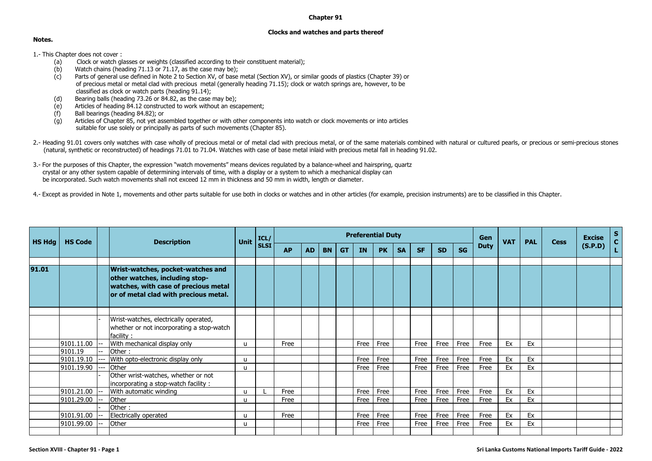## **Chapter 91**

## **Clocks and watches and parts thereof**

## **Notes.**

- 1.- This Chapter does not cover :<br>(a) Clock or watch gl
	- (Clock or watch glasses or weights (classified according to their constituent material);
	- (b) Watch chains (heading 71.13 or 71.17, as the case may be);
	- (c) Parts of general use defined in Note 2 to Section XV, of base metal (Section XV), or similar goods of plastics (Chapter 39) or of precious metal or metal clad with precious metal (generally heading 71.15); clock or watch springs are, however, to be classified as clock or watch parts (heading 91.14);
	- (d) Bearing balls (heading  $73.26$  or  $84.82$ , as the case may be);<br>(e) Articles of heading  $84.12$  constructed to work without an esc
	- Articles of heading  $84.12$  constructed to work without an escapement:
	- (f) Ball bearings (heading 84.82); or
	- (g) Articles of Chapter 85, not yet assembled together or with other components into watch or clock movements or into articles suitable for use solely or principally as parts of such movements (Chapter 85).
- 2.- Heading 91.01 covers only watches with case wholly of precious metal or of metal clad with precious metal, or of the same materials combined with natural or cultured pearls, or precious or semi-precious stones (natural, synthetic or reconstructed) of headings 71.01 to 71.04. Watches with case of base metal inlaid with precious metal fall in heading 91.02.
- 3.- For the purposes of this Chapter, the expression "watch movements" means devices regulated by a balance-wheel and hairspring, quartz crystal or any other system capable of determining intervals of time, with a display or a system to which a mechanical display can be incorporated. Such watch movements shall not exceed 12 mm in thickness and 50 mm in width, length or diameter.
- 4.- Except as provided in Note 1, movements and other parts suitable for use both in clocks or watches and in other articles (for example, precision instruments) are to be classified in this Chapter.

| <b>HS Hdg</b> | <b>HS Code</b> |  | <b>Description</b>                                                                                                                                   | <b>Unit</b>  | ICL/        |           |           |           |           |           | <b>Preferential Duty</b> | Gen       | <b>VAT</b> | <b>PAL</b> | <b>Cess</b> | <b>Excise</b> | $\mathbf S$ |    |  |         |  |
|---------------|----------------|--|------------------------------------------------------------------------------------------------------------------------------------------------------|--------------|-------------|-----------|-----------|-----------|-----------|-----------|--------------------------|-----------|------------|------------|-------------|---------------|-------------|----|--|---------|--|
|               |                |  |                                                                                                                                                      |              | <b>SLSI</b> | <b>AP</b> | <b>AD</b> | <b>BN</b> | <b>GT</b> | <b>IN</b> | <b>PK</b>                | <b>SA</b> | <b>SF</b>  | <b>SD</b>  | <b>SG</b>   | <b>Duty</b>   |             |    |  | (S.P.D) |  |
| 91.01         |                |  | Wrist-watches, pocket-watches and<br>other watches, including stop-<br>watches, with case of precious metal<br>or of metal clad with precious metal. |              |             |           |           |           |           |           |                          |           |            |            |             |               |             |    |  |         |  |
|               |                |  | Wrist-watches, electrically operated,<br>whether or not incorporating a stop-watch<br>facility:                                                      |              |             |           |           |           |           |           |                          |           |            |            |             |               |             |    |  |         |  |
|               | 9101.11.00     |  | With mechanical display only                                                                                                                         | u            |             | Free      |           |           |           | Free      | Free                     |           | Free       | Free       | Free        | Free          | Ex          | Ex |  |         |  |
|               | 9101.19        |  | Other:                                                                                                                                               |              |             |           |           |           |           |           |                          |           |            |            |             |               |             |    |  |         |  |
|               | 9101.19.10     |  | With opto-electronic display only                                                                                                                    | u            |             |           |           |           |           | Free      | Free                     |           | Free       | Free       | Free        | Free          | Ex          | Ex |  |         |  |
|               | 9101.19.90     |  | Other<br>Other wrist-watches, whether or not<br>incorporating a stop-watch facility:                                                                 | $\mathbf{u}$ |             |           |           |           |           | Free      | Free                     |           | Free       | Free       | Free        | Free          | Ex          | Ex |  |         |  |
|               | 9101.21.00     |  | With automatic winding                                                                                                                               | $\mathbf{u}$ |             | Free      |           |           |           | Free      | Free                     |           | Free       | Free       | Free        | Free          | Ex          | Ex |  |         |  |
|               | 9101.29.00     |  | Other                                                                                                                                                | u            |             | Free      |           |           |           | Free      | Free                     |           | Free       | Free       | Free        | Free          | Ex          | Ex |  |         |  |
|               |                |  | Other:                                                                                                                                               |              |             |           |           |           |           |           |                          |           |            |            |             |               |             |    |  |         |  |
|               | 9101.91.00     |  | Electrically operated                                                                                                                                | u            |             | Free      |           |           |           | Free      | Free                     |           | Free       | Free       | Free        | Free          | Ex          | Ex |  |         |  |
|               | 9101.99.00     |  | Other                                                                                                                                                | $\mathbf{u}$ |             |           |           |           |           | Free      | Free                     |           | Free       | Free       | Free        | Free          | Ex          | Ex |  |         |  |
|               |                |  |                                                                                                                                                      |              |             |           |           |           |           |           |                          |           |            |            |             |               |             |    |  |         |  |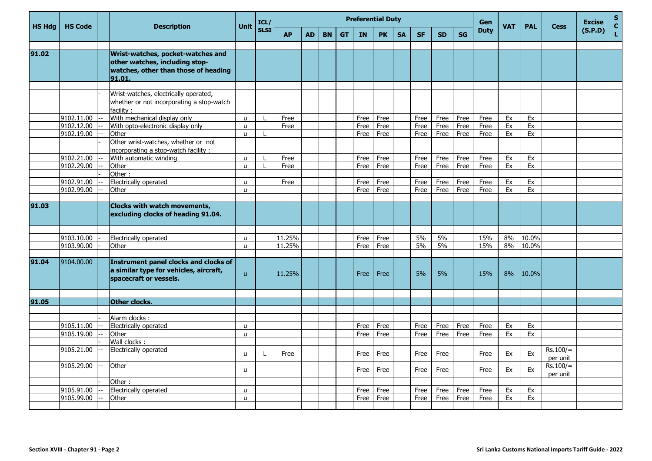| <b>Unit</b><br><b>HS Hdg</b><br><b>HS Code</b><br><b>Description</b><br><b>VAT</b><br><b>SLSI</b><br><b>Duty</b><br><b>GT</b><br><b>AP</b><br><b>BN</b><br>IN<br><b>PK</b><br><b>SA</b><br><b>SF</b><br><b>SD</b><br><b>SG</b><br><b>AD</b> | <b>PAL</b> | <b>Cess</b>            | (S.P.D) | $\mathbf{C}$ |
|---------------------------------------------------------------------------------------------------------------------------------------------------------------------------------------------------------------------------------------------|------------|------------------------|---------|--------------|
|                                                                                                                                                                                                                                             |            |                        |         | L            |
| 91.02<br>Wrist-watches, pocket-watches and<br>other watches, including stop-<br>watches, other than those of heading<br>91.01.                                                                                                              |            |                        |         |              |
|                                                                                                                                                                                                                                             |            |                        |         |              |
| Wrist-watches, electrically operated,<br>whether or not incorporating a stop-watch<br>facility:                                                                                                                                             |            |                        |         |              |
| With mechanical display only<br>9102.11.00<br>Free<br>Free<br>Free<br>Ex<br>Free<br>Free<br>Free<br>Free<br>u                                                                                                                               | Ex         |                        |         |              |
| 9102.12.00<br>With opto-electronic display only<br>Free<br>Free<br>Free<br>Free<br>Free<br>Free<br>Free<br>Ex<br>$\mathbf{u}$                                                                                                               | Ex         |                        |         |              |
| Other<br>9102.19.00<br>Free<br>Free<br>Free<br>Free<br>Free<br>Ex<br>Free<br>$\mathbf{u}$<br>Other wrist-watches, whether or not<br>incorporating a stop-watch facility:                                                                    | Ex         |                        |         |              |
| 9102.21.00<br>With automatic winding<br>Free<br>Free<br>Free<br>Ex<br>Free<br>Free<br>Free<br>Free<br>$\mathbf{u}$                                                                                                                          | Ex         |                        |         |              |
| 9102.29.00<br>Other<br>Free<br>Free<br>Free<br>Free<br>Free<br>Free<br>Ex<br>$\mathbf{u}$<br>Free                                                                                                                                           | Ex         |                        |         |              |
| Other:                                                                                                                                                                                                                                      |            |                        |         |              |
| 9102.91.00<br>Electrically operated<br>Free<br>Free<br>Free<br>Free<br>Ex<br>Free<br>Free<br>Free<br>u                                                                                                                                      | Ex         |                        |         |              |
| 9102.99.00<br>Other<br>Free<br>Free<br>Free<br>Free<br>Free<br>Ex<br>Free<br>$\mathbf{u}$                                                                                                                                                   | Ex         |                        |         |              |
| 91.03<br><b>Clocks with watch movements,</b><br>excluding clocks of heading 91.04.                                                                                                                                                          |            |                        |         |              |
| 9103.10.00<br>11.25%<br>5%<br>5%<br>15%<br>Electrically operated<br>Free<br>8%<br>Free<br>u                                                                                                                                                 | 10.0%      |                        |         |              |
| 9103.90.00<br>11.25%<br>5%<br>5%<br>15%<br>Free<br>8%<br>Other<br>Free<br>$\mathbf{u}$                                                                                                                                                      | 10.0%      |                        |         |              |
| 91.04<br><b>Instrument panel clocks and clocks of</b><br>9104.00.00<br>a similar type for vehicles, aircraft,<br>11.25%<br>5%<br>5%<br>15%<br>8%<br>Free<br>$\mathsf{u}$<br>Free<br>spacecraft or vessels.                                  | 10.0%      |                        |         |              |
|                                                                                                                                                                                                                                             |            |                        |         |              |
| 91.05<br>Other clocks.                                                                                                                                                                                                                      |            |                        |         |              |
| Alarm clocks:                                                                                                                                                                                                                               |            |                        |         |              |
| 9105.11.00<br>Electrically operated<br>Free<br>Ex<br>Free<br>Free<br>Free<br>Free<br>Free<br>$\mathbf{u}$                                                                                                                                   | Ex         |                        |         |              |
| 9105.19.00<br>Other<br>Free<br>Free<br>Ex<br>Free<br>Free<br>Free<br>Free<br>$\mathbf{u}$                                                                                                                                                   | Ex         |                        |         |              |
| Wall clocks:                                                                                                                                                                                                                                |            |                        |         |              |
| 9105.21.00<br>Electrically operated<br>Free<br>Free<br>Free<br>Free<br>Ex<br>Free<br>Free<br>u                                                                                                                                              | Ex         | $Rs.100/=$<br>per unit |         |              |
| 9105.29.00<br>Other<br>Free<br>Free<br>Free<br>Ex<br>Free<br>Free<br>u                                                                                                                                                                      | Ex         | $Rs.100/=$<br>per unit |         |              |
| Other:                                                                                                                                                                                                                                      |            |                        |         |              |
| 9105.91.00<br>Electrically operated<br>Ex<br>Free<br>Free<br>Free<br>Free<br>Free<br>Free<br>$\mathbf{u}$                                                                                                                                   | Ex         |                        |         |              |
| 9105.99.00<br>Other<br>Free<br>Free<br>Ex<br>Free<br>Free<br>Free<br>Free<br>$\mathbf{u}$                                                                                                                                                   | Ex         |                        |         |              |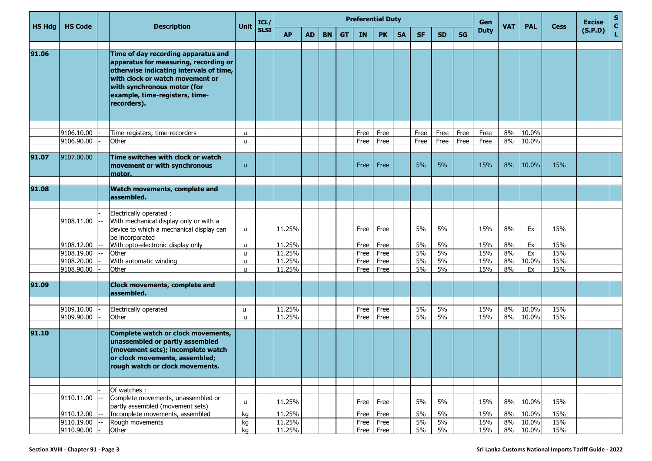| <b>HS Hdg</b> | <b>HS Code</b>           |  | <b>Description</b>                                                                                                                                                                                                                         | Unit              | ICL/        | <b>Preferential Duty</b><br>Gen<br><b>VAT</b><br><b>PAL</b><br><b>Cess</b> |           |           |           |              |              |           |           |           |           |             |          | <b>Excise</b>  | $\mathbf{s}$<br>$\mathbf{C}$ |         |    |
|---------------|--------------------------|--|--------------------------------------------------------------------------------------------------------------------------------------------------------------------------------------------------------------------------------------------|-------------------|-------------|----------------------------------------------------------------------------|-----------|-----------|-----------|--------------|--------------|-----------|-----------|-----------|-----------|-------------|----------|----------------|------------------------------|---------|----|
|               |                          |  |                                                                                                                                                                                                                                            |                   | <b>SLSI</b> | <b>AP</b>                                                                  | <b>AD</b> | <b>BN</b> | <b>GT</b> | <b>IN</b>    | <b>PK</b>    | <b>SA</b> | <b>SF</b> | <b>SD</b> | <b>SG</b> | <b>Duty</b> |          |                |                              | (S.P.D) | L. |
| 91.06         |                          |  | Time of day recording apparatus and<br>apparatus for measuring, recording or<br>otherwise indicating intervals of time,<br>with clock or watch movement or<br>with synchronous motor (for<br>example, time-registers, time-<br>recorders). |                   |             |                                                                            |           |           |           |              |              |           |           |           |           |             |          |                |                              |         |    |
|               | 9106.10.00               |  | Time-registers; time-recorders                                                                                                                                                                                                             | $\mathbf{u}$      |             |                                                                            |           |           |           | Free         | Free         |           | Free      | Free      | Free      | Free        | 8%       | 10.0%          |                              |         |    |
|               | 9106.90.00               |  | Other                                                                                                                                                                                                                                      | $\mathbf{u}$      |             |                                                                            |           |           |           | Free         | Free         |           | Free      | Free      | Free      | Free        | 8%       | 10.0%          |                              |         |    |
| 91.07         | 9107.00.00               |  | Time switches with clock or watch<br>movement or with synchronous<br>motor.                                                                                                                                                                | $\mathsf{u}$      |             |                                                                            |           |           |           | Free         | Free         |           | 5%        | 5%        |           | 15%         | 8%       | 10.0%          | 15%                          |         |    |
| 91.08         |                          |  | Watch movements, complete and<br>assembled.                                                                                                                                                                                                |                   |             |                                                                            |           |           |           |              |              |           |           |           |           |             |          |                |                              |         |    |
|               |                          |  | Electrically operated :                                                                                                                                                                                                                    |                   |             |                                                                            |           |           |           |              |              |           |           |           |           |             |          |                |                              |         |    |
|               | 9108.11.00               |  | With mechanical display only or with a<br>device to which a mechanical display can<br>be incorporated                                                                                                                                      | u                 |             | 11.25%                                                                     |           |           |           | Free         | Free         |           | 5%        | 5%        |           | 15%         | 8%       | Ex             | 15%                          |         |    |
|               | 9108.12.00               |  | With opto-electronic display only                                                                                                                                                                                                          | u                 |             | 11.25%                                                                     |           |           |           | Free         | Free         |           | 5%        | 5%        |           | 15%         | 8%       | Ex             | 15%                          |         |    |
|               | 9108.19.00               |  | Other                                                                                                                                                                                                                                      | $\mathbf{u}$      |             | 11.25%                                                                     |           |           |           | Free         | Free         |           | 5%        | 5%        |           | 15%         | 8%       | Ex             | 15%                          |         |    |
|               | 9108.20.00               |  | With automatic winding                                                                                                                                                                                                                     | $\mathbf{u}$      |             | $\overline{11.25\%}$                                                       |           |           |           | Free         | Free         |           | 5%        | 5%        |           | 15%         | 8%       | 10.0%          | 15%                          |         |    |
|               | 9108.90.00               |  | Other                                                                                                                                                                                                                                      | $\mathbf{u}$      |             | 11.25%                                                                     |           |           |           | Free         | Free         |           | 5%        | 5%        |           | 15%         | 8%       | Ex             | 15%                          |         |    |
| 91.09         |                          |  | Clock movements, complete and<br>assembled.                                                                                                                                                                                                |                   |             |                                                                            |           |           |           |              |              |           |           |           |           |             |          |                |                              |         |    |
|               |                          |  |                                                                                                                                                                                                                                            |                   |             |                                                                            |           |           |           |              |              |           |           |           |           |             |          |                |                              |         |    |
|               | 9109.10.00<br>9109.90.00 |  | Electrically operated<br>Other                                                                                                                                                                                                             | u<br>$\mathbf{u}$ |             | 11.25%<br>11.25%                                                           |           |           |           | Free<br>Free | Free<br>Free |           | 5%<br>5%  | 5%<br>5%  |           | 15%<br>15%  | 8%<br>8% | 10.0%<br>10.0% | 15%<br>15%                   |         |    |
|               |                          |  |                                                                                                                                                                                                                                            |                   |             |                                                                            |           |           |           |              |              |           |           |           |           |             |          |                |                              |         |    |
| 91.10         |                          |  | Complete watch or clock movements,<br>unassembled or partly assembled<br>(movement sets); incomplete watch<br>or clock movements, assembled;<br>rough watch or clock movements.                                                            |                   |             |                                                                            |           |           |           |              |              |           |           |           |           |             |          |                |                              |         |    |
|               |                          |  |                                                                                                                                                                                                                                            |                   |             |                                                                            |           |           |           |              |              |           |           |           |           |             |          |                |                              |         |    |
|               | 9110.11.00               |  | Of watches:<br>Complete movements, unassembled or<br>partly assembled (movement sets)                                                                                                                                                      | u                 |             | 11.25%                                                                     |           |           |           | Free         | Free         |           | 5%        | 5%        |           | 15%         | 8%       | 10.0%          | 15%                          |         |    |
|               | 9110.12.00               |  | Incomplete movements, assembled                                                                                                                                                                                                            | kg                |             | 11.25%                                                                     |           |           |           | Free         | Free         |           | 5%        | 5%        |           | 15%         | 8%       | 10.0%          | 15%                          |         |    |
|               | 9110.19.00               |  | Rough movements                                                                                                                                                                                                                            | kg                |             | 11.25%                                                                     |           |           |           |              | Free Free    |           | 5%        | 5%        |           | 15%         | 8%       | 10.0%          | 15%                          |         |    |
|               | 9110.90.00               |  | Other                                                                                                                                                                                                                                      | kg                |             | 11.25%                                                                     |           |           |           |              | Free Free    |           | $5\%$     | $5\%$     |           | 15%         | 8%       | 10.0%          | 15%                          |         |    |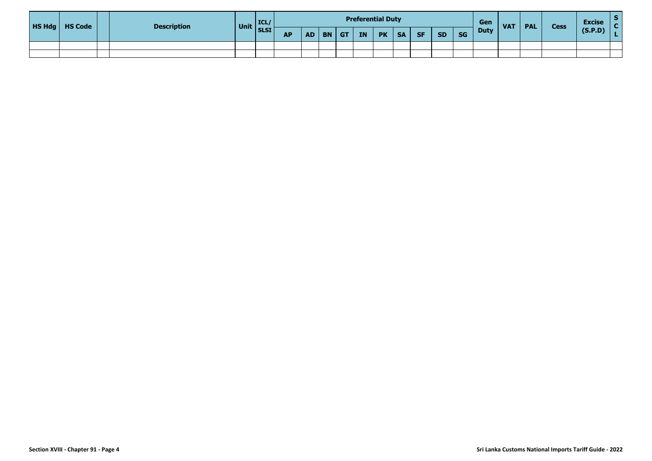|  | $H\$ Hdg $H\$ Code | <b>Description</b> | Unit | ICL/<br><b>SLSI</b> | <b>Preferential Duty</b> |    |              |  |    |           |           |     |           |           |             | <b>VAT</b> | <b>PAL</b> | <b>Cess</b> | <b>Excise</b> |  |
|--|--------------------|--------------------|------|---------------------|--------------------------|----|--------------|--|----|-----------|-----------|-----|-----------|-----------|-------------|------------|------------|-------------|---------------|--|
|  |                    |                    |      |                     | ΔD<br>--                 | AD | <b>BN</b> GT |  | IN | <b>PK</b> | <b>SA</b> | SF/ | <b>SD</b> | <b>SG</b> | <b>Duty</b> |            |            |             | (S.P.D)       |  |
|  |                    |                    |      |                     |                          |    |              |  |    |           |           |     |           |           |             |            |            |             |               |  |
|  |                    |                    |      |                     |                          |    |              |  |    |           |           |     |           |           |             |            |            |             |               |  |